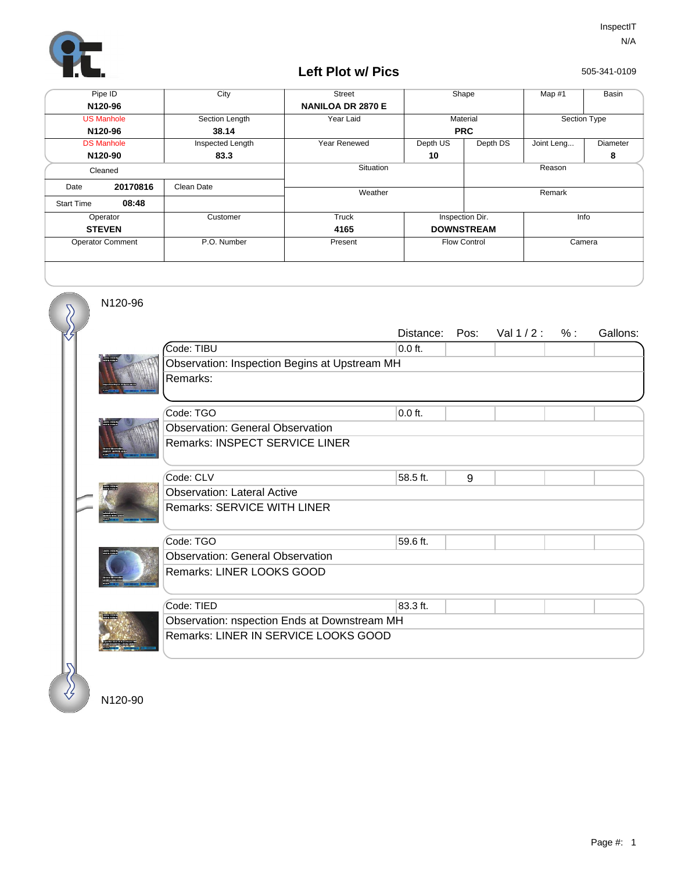

## **Left Plot w/ Pics**

505-341-0109

| Pipe ID                 |          | City             | <b>Street</b>            | Shape               |          | Map #1       | Basin           |  |
|-------------------------|----------|------------------|--------------------------|---------------------|----------|--------------|-----------------|--|
| N120-96                 |          |                  | <b>NANILOA DR 2870 E</b> |                     |          |              |                 |  |
| <b>US Manhole</b>       |          | Section Length   | Year Laid                | Material            |          | Section Type |                 |  |
| N120-96                 |          | 38.14            |                          | <b>PRC</b>          |          |              |                 |  |
| <b>DS Manhole</b>       |          | Inspected Length | Year Renewed             | Depth US            | Depth DS | Joint Leng   | <b>Diameter</b> |  |
| N120-90                 |          | 83.3             |                          | 10                  |          |              | 8               |  |
| Cleaned                 |          |                  | Situation                |                     |          | Reason       |                 |  |
| Date                    | 20170816 | Clean Date       | Weather                  |                     |          | Remark       |                 |  |
| <b>Start Time</b>       | 08:48    |                  |                          |                     |          |              |                 |  |
| Operator                |          | Customer         | Truck                    | Inspection Dir.     |          | Info         |                 |  |
| <b>STEVEN</b>           |          |                  | 4165                     | <b>DOWNSTREAM</b>   |          |              |                 |  |
| <b>Operator Comment</b> |          | P.O. Number      | Present                  | <b>Flow Control</b> |          | Camera       |                 |  |
|                         |          |                  |                          |                     |          |              |                 |  |

N120-96

 $\overline{\mathcal{S}}$ 

|                                               | Distance:<br>Pos: | Val $1/2$ : | % : | Gallons: |  |  |  |
|-----------------------------------------------|-------------------|-------------|-----|----------|--|--|--|
| Code: TIBU                                    | $0.0$ ft.         |             |     |          |  |  |  |
| Observation: Inspection Begins at Upstream MH |                   |             |     |          |  |  |  |
| Remarks:                                      |                   |             |     |          |  |  |  |
|                                               |                   |             |     |          |  |  |  |
| Code: TGO                                     | $0.0$ ft.         |             |     |          |  |  |  |
| <b>Observation: General Observation</b>       |                   |             |     |          |  |  |  |
| Remarks: INSPECT SERVICE LINER                |                   |             |     |          |  |  |  |
|                                               |                   |             |     |          |  |  |  |
| Code: CLV                                     | 58.5 ft.<br>9     |             |     |          |  |  |  |
| <b>Observation: Lateral Active</b>            |                   |             |     |          |  |  |  |
| Remarks: SERVICE WITH LINER                   |                   |             |     |          |  |  |  |
|                                               |                   |             |     |          |  |  |  |
| Code: TGO                                     | 59.6 ft.          |             |     |          |  |  |  |
| <b>Observation: General Observation</b>       |                   |             |     |          |  |  |  |
| Remarks: LINER LOOKS GOOD                     |                   |             |     |          |  |  |  |
|                                               |                   |             |     |          |  |  |  |
| Code: TIED                                    | 83.3 ft.          |             |     |          |  |  |  |
| Observation: nspection Ends at Downstream MH  |                   |             |     |          |  |  |  |
| Remarks: LINER IN SERVICE LOOKS GOOD          |                   |             |     |          |  |  |  |
|                                               |                   |             |     |          |  |  |  |
|                                               |                   |             |     |          |  |  |  |
|                                               |                   |             |     |          |  |  |  |

N120-90

∛